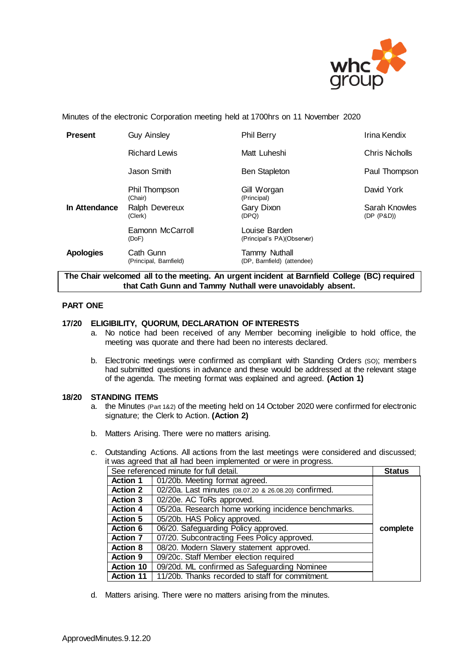

Minutes of the electronic Corporation meeting held at 1700hrs on 11 November 2020

| <b>Present</b>   | <b>Guy Ainsley</b>                  | <b>Phil Berry</b>                                  | Irina Kendix                |
|------------------|-------------------------------------|----------------------------------------------------|-----------------------------|
|                  | <b>Richard Lewis</b>                | Matt Luheshi                                       | Chris Nicholls              |
|                  | Jason Smith                         | <b>Ben Stapleton</b>                               | Paul Thompson               |
|                  | Phil Thompson<br>(Chair)            | Gill Worgan<br>(Principal)                         | David York                  |
| In Attendance    | Ralph Devereux<br>(Clerk)           | Gary Dixon<br>(DPQ)                                | Sarah Knowles<br>(DP (P&D)) |
|                  | Eamonn McCarroll<br>(DoF)           | Louise Barden<br>(Principal's PA)(Observer)        |                             |
| <b>Apologies</b> | Cath Gunn<br>(Principal, Barnfield) | <b>Tammy Nuthall</b><br>(DP, Barnfield) (attendee) |                             |

**The Chair welcomed all to the meeting. An urgent incident at Barnfield College (BC) required that Cath Gunn and Tammy Nuthall were unavoidably absent.**

# **PART ONE**

# **17/20 ELIGIBILITY, QUORUM, DECLARATION OF INTERESTS**

- a. No notice had been received of any Member becoming ineligible to hold office, the meeting was quorate and there had been no interests declared.
- b. Electronic meetings were confirmed as compliant with Standing Orders (SO); members had submitted questions in advance and these would be addressed at the relevant stage of the agenda. The meeting format was explained and agreed. **(Action 1)**

## **18/20 STANDING ITEMS**

- a. the Minutes (Part 1&2) of the meeting held on 14 October 2020 were confirmed for electronic signature; the Clerk to Action. **(Action 2)**
- b. Matters Arising. There were no matters arising.
- c. Outstanding Actions. All actions from the last meetings were considered and discussed; it was agreed that all had been implemented or were in progress.

| See referenced minute for full detail. |                                                       | <b>Status</b> |
|----------------------------------------|-------------------------------------------------------|---------------|
| <b>Action 1</b>                        | 01/20b. Meeting format agreed.                        |               |
| <b>Action 2</b>                        | 02/20a. Last minutes (08.07.20 & 26.08.20) confirmed. |               |
| <b>Action 3</b>                        | 02/20e. AC ToRs approved.                             |               |
| <b>Action 4</b>                        | 05/20a. Research home working incidence benchmarks.   |               |
| <b>Action 5</b>                        | 05/20b. HAS Policy approved.                          |               |
| <b>Action 6</b>                        | 06/20. Safeguarding Policy approved.                  | complete      |
| <b>Action 7</b>                        | 07/20. Subcontracting Fees Policy approved.           |               |
| <b>Action 8</b>                        | 08/20. Modern Slavery statement approved.             |               |
| <b>Action 9</b>                        | 09/20c. Staff Member election required                |               |
| <b>Action 10</b>                       | 09/20d. ML confirmed as Safeguarding Nominee          |               |
| <b>Action 11</b>                       | 11/20b. Thanks recorded to staff for commitment.      |               |

d. Matters arising. There were no matters arising from the minutes.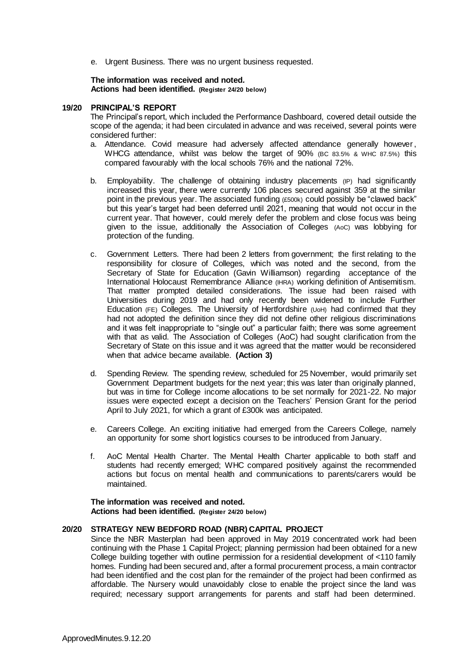e. Urgent Business. There was no urgent business requested.

#### **The information was received and noted***.* **Actions had been identified. (Register 24/20 below)**

#### **19/20 PRINCIPAL'S REPORT**

The Principal's report, which included the Performance Dashboard, covered detail outside the scope of the agenda; it had been circulated in advance and was received, several points were considered further:

- a. Attendance. Covid measure had adversely affected attendance generally however, WHCG attendance, whilst was below the target of 90% (BC 83.5% & WHC 87.5%) this compared favourably with the local schools 76% and the national 72%.
- b. Employability. The challenge of obtaining industry placements (IP) had significantly increased this year, there were currently 106 places secured against 359 at the similar point in the previous year. The associated funding (£500k) could possibly be "clawed back" but this year's target had been deferred until 2021, meaning that would not occur in the current year. That however, could merely defer the problem and close focus was being given to the issue, additionally the Association of Colleges (AoC) was lobbying for protection of the funding.
- c. Government Letters. There had been 2 letters from government; the first relating to the responsibility for closure of Colleges, which was noted and the second, from the Secretary of State for Education (Gavin Williamson) regarding acceptance of the International Holocaust Remembrance Alliance (IHRA) working definition of Antisemitism. That matter prompted detailed considerations. The issue had been raised with Universities during 2019 and had only recently been widened to include Further Education (FE) Colleges. The University of Hertfordshire (UoH) had confirmed that they had not adopted the definition since they did not define other religious discriminations and it was felt inappropriate to "single out" a particular faith; there was some agreement with that as valid. The Association of Colleges (AoC) had sought clarification from the Secretary of State on this issue and it was agreed that the matter would be reconsidered when that advice became available. **(Action 3)**
- d. Spending Review. The spending review, scheduled for 25 November, would primarily set Government Department budgets for the next year; this was later than originally planned, but was in time for College income allocations to be set normally for 2021-22. No major issues were expected except a decision on the Teachers' Pension Grant for the period April to July 2021, for which a grant of £300k was anticipated.
- e. Careers College. An exciting initiative had emerged from the Careers College, namely an opportunity for some short logistics courses to be introduced from January.
- f. AoC Mental Health Charter. The Mental Health Charter applicable to both staff and students had recently emerged; WHC compared positively against the recommended actions but focus on mental health and communications to parents/carers would be maintained.

**The information was received and noted***.* **Actions had been identified. (Register 24/20 below)**

# **20/20 STRATEGY NEW BEDFORD ROAD (NBR) CAPITAL PROJECT**

Since the NBR Masterplan had been approved in May 2019 concentrated work had been continuing with the Phase 1 Capital Project; planning permission had been obtained for a new College building together with outline permission for a residential development of <110 family homes. Funding had been secured and, after a formal procurement process, a main contractor had been identified and the cost plan for the remainder of the project had been confirmed as affordable. The Nursery would unavoidably close to enable the project since the land was required; necessary support arrangements for parents and staff had been determined.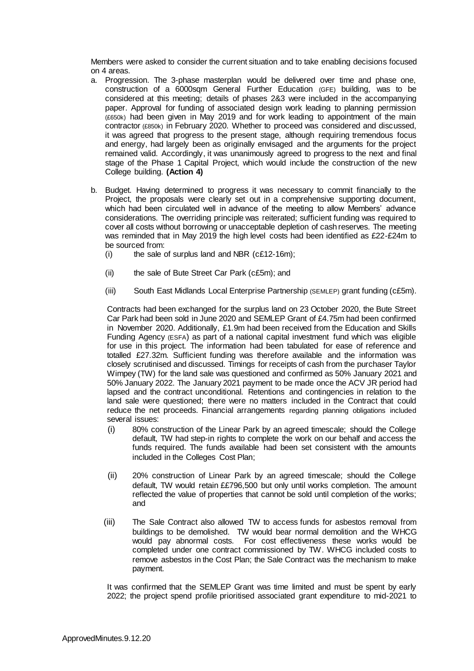Members were asked to consider the current situation and to take enabling decisions focused on 4 areas.

- a. Progression. The 3-phase masterplan would be delivered over time and phase one, construction of a 6000sqm General Further Education (GFE) building, was to be considered at this meeting; details of phases 2&3 were included in the accompanying paper. Approval for funding of associated design work leading to planning permission (£650k) had been given in May 2019 and for work leading to appointment of the main contractor (£850k) in February 2020. Whether to proceed was considered and discussed, it was agreed that progress to the present stage, although requiring tremendous focus and energy, had largely been as originally envisaged and the arguments for the project remained valid. Accordingly, it was unanimously agreed to progress to the next and final stage of the Phase 1 Capital Project, which would include the construction of the new College building. **(Action 4)**
- b. Budget. Having determined to progress it was necessary to commit financially to the Project, the proposals were clearly set out in a comprehensive supporting document, which had been circulated well in advance of the meeting to allow Members' advance considerations. The overriding principle was reiterated; sufficient funding was required to cover all costs without borrowing or unacceptable depletion of cash reserves. The meeting was reminded that in May 2019 the high level costs had been identified as £22-£24m to be sourced from:
	- $(i)$  the sale of surplus land and NBR (c£12-16m);
	- (ii) the sale of Bute Street Car Park (c£5m); and
	- (iii) South East Midlands Local Enterprise Partnership (SEMLEP) grant funding (c£5m).

Contracts had been exchanged for the surplus land on 23 October 2020, the Bute Street Car Park had been sold in June 2020 and SEMLEP Grant of £4.75m had been confirmed in November 2020. Additionally, £1.9m had been received from the Education and Skills Funding Agency (ESFA) as part of a national capital investment fund which was eligible for use in this project. The information had been tabulated for ease of reference and totalled £27.32m. Sufficient funding was therefore available and the information was closely scrutinised and discussed. Timings for receipts of cash from the purchaser Taylor Wimpey (TW) for the land sale was questioned and confirmed as 50% January 2021 and 50% January 2022. The January 2021 payment to be made once the ACV JR period had lapsed and the contract unconditional. Retentions and contingencies in relation to the land sale were questioned; there were no matters included in the Contract that could reduce the net proceeds. Financial arrangements regarding planning obligations included several issues:

- (i) 80% construction of the Linear Park by an agreed timescale; should the College default, TW had step-in rights to complete the work on our behalf and access the funds required. The funds available had been set consistent with the amounts included in the Colleges Cost Plan;
- (ii) 20% construction of Linear Park by an agreed timescale; should the College default, TW would retain ££796,500 but only until works completion. The amount reflected the value of properties that cannot be sold until completion of the works; and
- (iii) The Sale Contract also allowed TW to access funds for asbestos removal from buildings to be demolished. TW would bear normal demolition and the WHCG would pay abnormal costs. For cost effectiveness these works would be completed under one contract commissioned by TW. WHCG included costs to remove asbestos in the Cost Plan; the Sale Contract was the mechanism to make payment.

It was confirmed that the SEMLEP Grant was time limited and must be spent by early 2022; the project spend profile prioritised associated grant expenditure to mid-2021 to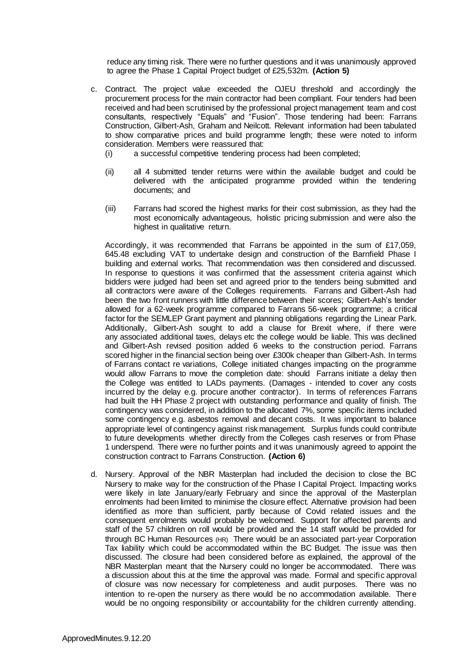reduce any timing risk. There were no further questions and it was unanimously approved to agree the Phase 1 Capital Project budget of £25,532m. **(Action 5)**

- c. Contract. The project value exceeded the OJEU threshold and accordingly the procurement process for the main contractor had been compliant. Four tenders had been received and had been scrutinised by the professional project management team and cost consultants, respectively "Equals" and "Fusion". Those tendering had been: Farrans Construction, Gilbert-Ash, Graham and Neilcott. Relevant information had been tabulated to show comparative prices and build programme length; these were noted to inform consideration. Members were reassured that:
	- (i) a successful competitive tendering process had been completed;
	- (ii) all 4 submitted tender returns were within the available budget and could be delivered with the anticipated programme provided within the tendering documents; and
	- (iii) Farrans had scored the highest marks for their cost submission, as they had the most economically advantageous, holistic pricing submission and were also the highest in qualitative return.

Accordingly, it was recommended that Farrans be appointed in the sum of £17,059, 645.48 excluding VAT to undertake design and construction of the Barnfield Phase I building and external works. That recommendation was then considered and discussed. In response to questions it was confirmed that the assessment criteria against which bidders were judged had been set and agreed prior to the tenders being submitted and all contractors were aware of the Colleges requirements. Farrans and Gilbert-Ash had been the two front runners with little difference between their scores; Gilbert-Ash's tender allowed for a 62-week programme compared to Farrans 56-week programme; a critical factor for the SEMLEP Grant payment and planning obligations regarding the Linear Park. Additionally, Gilbert-Ash sought to add a clause for Brexit where, if there were any associated additional taxes, delays etc the college would be liable. This was declined and Gilbert-Ash revised position added 6 weeks to the construction period. Farrans scored higher in the financial section being over £300k cheaper than Gilbert-Ash. In terms of Farrans contact re variations, College initiated changes impacting on the programme would allow Farrans to move the completion date: should Farrans initiate a delay then the College was entitled to LADs payments. (Damages - intended to cover any costs incurred by the delay e.g. procure another contractor). In terms of references Farrans had built the HH Phase 2 project with outstanding performance and quality of finish. The contingency was considered, in addition to the allocated 7%, some specific items included some contingency e.g. asbestos removal and decant costs. It was important to balance appropriate level of contingency against risk management. Surplus funds could contribute to future developments whether directly from the Colleges cash reserves or from Phase 1 underspend. There were no further points and it was unanimously agreed to appoint the construction contract to Farrans Construction. **(Action 6)**

d. Nursery. Approval of the NBR Masterplan had included the decision to close the BC Nursery to make way for the construction of the Phase I Capital Project. Impacting works were likely in late January/early February and since the approval of the Masterplan enrolments had been limited to minimise the closure effect. Alternative provision had been identified as more than sufficient, partly because of Covid related issues and the consequent enrolments would probably be welcomed. Support for affected parents and staff of the 57 children on roll would be provided and the 14 staff would be provided for through BC Human Resources (HR) There would be an associated part-year Corporation Tax liability which could be accommodated within the BC Budget. The issue was then discussed. The closure had been considered before as explained, the approval of the NBR Masterplan meant that the Nursery could no longer be accommodated. There was a discussion about this at the time the approval was made. Formal and specific approval of closure was now necessary for completeness and audit purposes. There was no intention to re-open the nursery as there would be no accommodation available. There would be no ongoing responsibility or accountability for the children currently attending.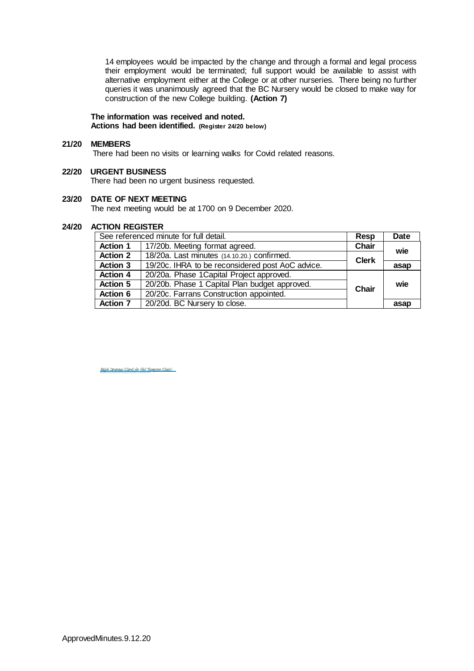14 employees would be impacted by the change and through a formal and legal process their employment would be terminated; full support would be available to assist with alternative employment either at the College or at other nurseries. There being no further queries it was unanimously agreed that the BC Nursery would be closed to make way for construction of the new College building. **(Action 7)**

### **The information was received and noted***.* **Actions had been identified. (Register 24/20 below)**

#### **21/20 MEMBERS**

There had been no visits or learning walks for Covid related reasons.

# **22/20 URGENT BUSINESS**

There had been no urgent business requested.

# **23/20 DATE OF NEXT MEETING**

The next meeting would be at 1700 on 9 December 2020.

#### **24/20 ACTION REGISTER**

| See referenced minute for full detail. |                                                  | Resp                 | <b>Date</b> |
|----------------------------------------|--------------------------------------------------|----------------------|-------------|
| <b>Action 1</b>                        | 17/20b. Meeting format agreed.                   | <b>Chair</b>         | wie         |
| <b>Action 2</b>                        | 18/20a. Last minutes (14.10.20.) confirmed.      | <b>Clerk</b><br>asap |             |
| <b>Action 3</b>                        | 19/20c. IHRA to be reconsidered post AoC advice. |                      |             |
| <b>Action 4</b>                        | 20/20a. Phase 1 Capital Project approved.        |                      |             |
| <b>Action 5</b>                        | 20/20b. Phase 1 Capital Plan budget approved.    | Chair                | wie         |
| Action 6                               | 20/20c. Farrans Construction appointed.          |                      |             |
| <b>Action 7</b>                        | 20/20d. BC Nursery to close.                     |                      | asap        |

Ralph Devereux (Clerk) for Phil Thompson (Chair) (Dec 12, 2020 08:04 GMT) [Ralph Devereux \(Clerk\) for Phil Thompson \(Chair\)](https://eu1.documents.adobe.com/verifier?tx=CBJCHBCAABAA5aR7am3j0Xa1eeBGqZJrAivbq6-Hv5Sy)